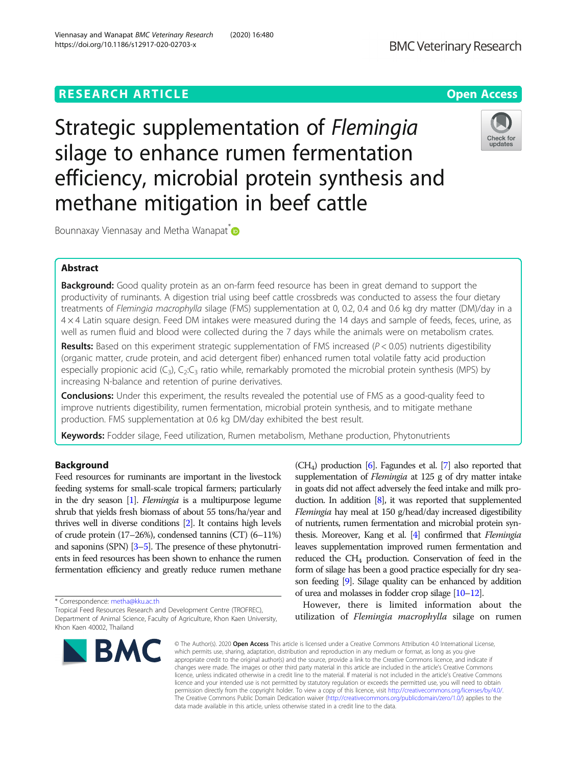Strategic supplementation of Flemingia silage to enhance rumen fermentation efficiency, microbial protein synthesis and methane mitigation in beef cattle

Abstract

**Background:** Good quality protein as an on-farm feed resource has been in great demand to support the productivity of ruminants. A digestion trial using beef cattle crossbreds was conducted to assess the four dietary treatments of Flemingia macrophylla silage (FMS) supplementation at 0, 0.2, 0.4 and 0.6 kg dry matter (DM)/day in a 4 × 4 Latin square design. Feed DM intakes were measured during the 14 days and sample of feeds, feces, urine, as well as rumen fluid and blood were collected during the 7 days while the animals were on metabolism crates.

**Results:** Based on this experiment strategic supplementation of FMS increased ( $P < 0.05$ ) nutrients digestibility (organic matter, crude protein, and acid detergent fiber) enhanced rumen total volatile fatty acid production especially propionic acid  $(C_3)$ ,  $C_2:C_3$  ratio while, remarkably promoted the microbial protein synthesis (MPS) by increasing N-balance and retention of purine derivatives.

**Conclusions:** Under this experiment, the results revealed the potential use of FMS as a good-quality feed to improve nutrients digestibility, rumen fermentation, microbial protein synthesis, and to mitigate methane production. FMS supplementation at 0.6 kg DM/day exhibited the best result.

data made available in this article, unless otherwise stated in a credit line to the data.

Keywords: Fodder silage, Feed utilization, Rumen metabolism, Methane production, Phytonutrients

# Background

Feed resources for ruminants are important in the livestock feeding systems for small-scale tropical farmers; particularly in the dry season  $[1]$  $[1]$ . *Flemingia* is a multipurpose legume shrub that yields fresh biomass of about 55 tons/ha/year and thrives well in diverse conditions [[2](#page-5-0)]. It contains high levels of crude protein (17–26%), condensed tannins (CT) (6–11%) and saponins (SPN) [\[3](#page-5-0)–[5\]](#page-5-0). The presence of these phytonutrients in feed resources has been shown to enhance the rumen fermentation efficiency and greatly reduce rumen methane

\* Correspondence: [metha@kku.ac.th](mailto:metha@kku.ac.th)

Tropical Feed Resources Research and Development Centre (TROFREC), Department of Animal Science, Faculty of Agriculture, Khon Kaen University, Khon Kaen 40002, Thailand

© The Author(s), 2020 **Open Access** This article is licensed under a Creative Commons Attribution 4.0 International License, which permits use, sharing, adaptation, distribution and reproduction in any medium or format, as long as you give appropriate credit to the original author(s) and the source, provide a link to the Creative Commons licence, and indicate if changes were made. The images or other third party material in this article are included in the article's Creative Commons licence, unless indicated otherwise in a credit line to the material. If material is not included in the article's Creative Commons licence and your intended use is not permitted by statutory regulation or exceeds the permitted use, you will need to obtain permission directly from the copyright holder. To view a copy of this licence, visit [http://creativecommons.org/licenses/by/4.0/.](http://creativecommons.org/licenses/by/4.0/) The Creative Commons Public Domain Dedication waiver [\(http://creativecommons.org/publicdomain/zero/1.0/](http://creativecommons.org/publicdomain/zero/1.0/)) applies to the

of urea and molasses in fodder crop silage [[10](#page-5-0)–[12\]](#page-5-0). However, there is limited information about the utilization of Flemingia macrophylla silage on rumen

**BMC Veterinary Research** 

# Bounnaxay Viennasay and Metha Wanapat **D**

(CH4) production [\[6\]](#page-5-0). Fagundes et al. [\[7](#page-5-0)] also reported that supplementation of *Flemingia* at 125 g of dry matter intake in goats did not affect adversely the feed intake and milk production. In addition [\[8](#page-5-0)], it was reported that supplemented Flemingia hay meal at 150 g/head/day increased digestibility of nutrients, rumen fermentation and microbial protein synthesis. Moreover, Kang et al. [\[4](#page-5-0)] confirmed that Flemingia leaves supplementation improved rumen fermentation and reduced the CH<sub>4</sub> production. Conservation of feed in the form of silage has been a good practice especially for dry season feeding [\[9\]](#page-5-0). Silage quality can be enhanced by addition

Check for updates

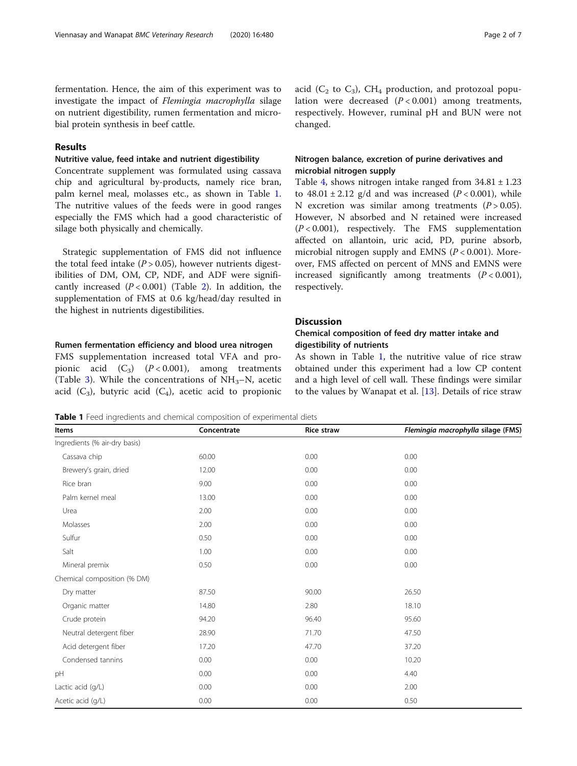<span id="page-1-0"></span>fermentation. Hence, the aim of this experiment was to investigate the impact of Flemingia macrophylla silage on nutrient digestibility, rumen fermentation and microbial protein synthesis in beef cattle.

# Results

# Nutritive value, feed intake and nutrient digestibility

Concentrate supplement was formulated using cassava chip and agricultural by-products, namely rice bran, palm kernel meal, molasses etc., as shown in Table 1. The nutritive values of the feeds were in good ranges especially the FMS which had a good characteristic of silage both physically and chemically.

Strategic supplementation of FMS did not influence the total feed intake ( $P > 0.05$ ), however nutrients digestibilities of DM, OM, CP, NDF, and ADF were significantly increased  $(P < 0.001)$  (Table [2\)](#page-2-0). In addition, the supplementation of FMS at 0.6 kg/head/day resulted in the highest in nutrients digestibilities.

## Rumen fermentation efficiency and blood urea nitrogen

FMS supplementation increased total VFA and propionic acid  $(C_3)$   $(P < 0.001)$ , among treatments (Table [3\)](#page-2-0). While the concentrations of  $NH<sub>3</sub>-N$ , acetic acid  $(C_3)$ , butyric acid  $(C_4)$ , acetic acid to propionic acid ( $C_2$  to  $C_3$ ), CH<sub>4</sub> production, and protozoal population were decreased  $(P < 0.001)$  among treatments, respectively. However, ruminal pH and BUN were not changed.

# Nitrogen balance, excretion of purine derivatives and microbial nitrogen supply

Table [4](#page-3-0), shows nitrogen intake ranged from  $34.81 \pm 1.23$ to  $48.01 \pm 2.12$  g/d and was increased ( $P < 0.001$ ), while N excretion was similar among treatments  $(P > 0.05)$ . However, N absorbed and N retained were increased  $(P < 0.001)$ , respectively. The FMS supplementation affected on allantoin, uric acid, PD, purine absorb, microbial nitrogen supply and EMNS ( $P < 0.001$ ). Moreover, FMS affected on percent of MNS and EMNS were increased significantly among treatments  $(P < 0.001)$ , respectively.

# **Discussion**

# Chemical composition of feed dry matter intake and digestibility of nutrients

As shown in Table 1, the nutritive value of rice straw obtained under this experiment had a low CP content and a high level of cell wall. These findings were similar to the values by Wanapat et al. [\[13](#page-5-0)]. Details of rice straw

Table 1 Feed ingredients and chemical composition of experimental diets

| Items                         | Concentrate | <b>Rice straw</b> | Flemingia macrophylla silage (FMS) |  |
|-------------------------------|-------------|-------------------|------------------------------------|--|
| Ingredients (% air-dry basis) |             |                   |                                    |  |
| Cassava chip                  | 60.00       | 0.00              | 0.00                               |  |
| Brewery's grain, dried        | 12.00       | 0.00              | 0.00                               |  |
| Rice bran                     | 9.00        | 0.00              | 0.00                               |  |
| Palm kernel meal              | 13.00       | 0.00              | 0.00                               |  |
| Urea                          | 2.00        | 0.00              | 0.00                               |  |
| Molasses                      | 2.00        | 0.00              | 0.00                               |  |
| Sulfur                        | 0.50        | 0.00              | 0.00                               |  |
| Salt                          | 1.00        | 0.00              | 0.00                               |  |
| Mineral premix                | 0.50        | 0.00              | 0.00                               |  |
| Chemical composition (% DM)   |             |                   |                                    |  |
| Dry matter                    | 87.50       | 90.00             | 26.50                              |  |
| Organic matter                | 14.80       | 2.80              | 18.10                              |  |
| Crude protein                 | 94.20       | 96.40             | 95.60                              |  |
| Neutral detergent fiber       | 28.90       | 71.70             | 47.50                              |  |
| Acid detergent fiber          | 17.20       | 47.70             | 37.20                              |  |
| Condensed tannins             | 0.00        | 0.00              | 10.20                              |  |
| pH                            | 0.00        | 0.00              | 4.40                               |  |
| Lactic acid (g/L)             | 0.00        | 0.00              | 2.00                               |  |
| Acetic acid (g/L)             | 0.00        | 0.00              | 0.50                               |  |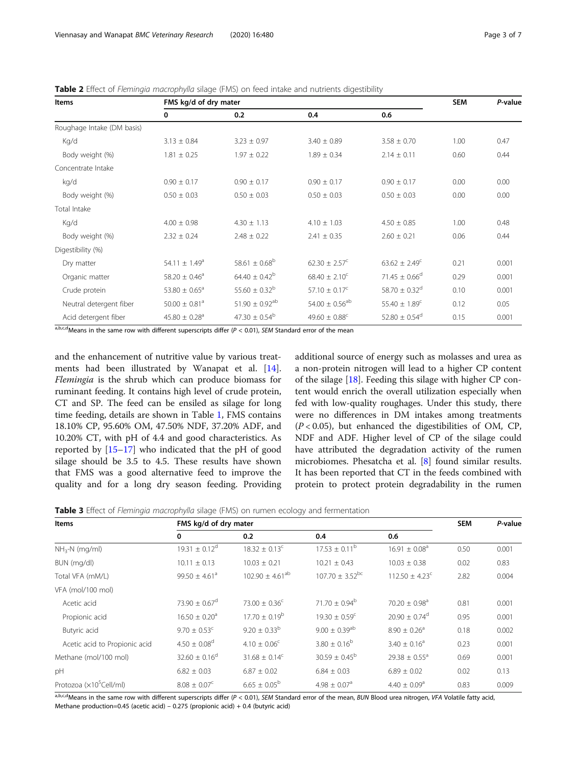<span id="page-2-0"></span>Table 2 Effect of Flemingia macrophylla silage (FMS) on feed intake and nutrients digestibility

| <b>Items</b>               | FMS kg/d of dry mater         |                                |                               |                               |      | P-value |
|----------------------------|-------------------------------|--------------------------------|-------------------------------|-------------------------------|------|---------|
|                            | 0                             | 0.2                            | 0.4                           | 0.6                           |      |         |
| Roughage Intake (DM basis) |                               |                                |                               |                               |      |         |
| Kg/d                       | $3.13 \pm 0.84$               | $3.23 \pm 0.97$                | $3.40 \pm 0.89$               | $3.58 \pm 0.70$               | 1.00 | 0.47    |
| Body weight (%)            | $1.81 \pm 0.25$               | $1.97 \pm 0.22$                | $1.89 \pm 0.34$               | $2.14 \pm 0.11$               | 0.60 | 0.44    |
| Concentrate Intake         |                               |                                |                               |                               |      |         |
| kg/d                       | $0.90 \pm 0.17$               | $0.90 \pm 0.17$                | $0.90 \pm 0.17$               | $0.90 \pm 0.17$               | 0.00 | 0.00    |
| Body weight (%)            | $0.50 \pm 0.03$               | $0.50 \pm 0.03$                | $0.50 \pm 0.03$               | $0.50 \pm 0.03$               | 0.00 | 0.00    |
| Total Intake               |                               |                                |                               |                               |      |         |
| Kg/d                       | $4.00 \pm 0.98$               | $4.30 \pm 1.13$                | $4.10 \pm 1.03$               | $4.50 \pm 0.85$               | 1.00 | 0.48    |
| Body weight (%)            | $2.32 \pm 0.24$               | $2.48 \pm 0.22$                | $2.41 \pm 0.35$               | $2.60 \pm 0.21$               | 0.06 | 0.44    |
| Digestibility (%)          |                               |                                |                               |                               |      |         |
| Dry matter                 | 54.11 $\pm$ 1.49 <sup>a</sup> | 58.61 $\pm$ 0.68 <sup>b</sup>  | $62.30 \pm 2.57^{\circ}$      | $63.62 \pm 2.49^c$            | 0.21 | 0.001   |
| Organic matter             | 58.20 $\pm$ 0.46 <sup>a</sup> | $64.40 \pm 0.42^b$             | $68.40 \pm 2.10^{\circ}$      | 71.45 $\pm$ 0.66 <sup>d</sup> | 0.29 | 0.001   |
| Crude protein              | 53.80 $\pm$ 0.65 <sup>a</sup> | 55.60 $\pm$ 0.32 <sup>b</sup>  | $57.10 \pm 0.17^{\circ}$      | 58.70 $\pm$ 0.32 <sup>d</sup> | 0.10 | 0.001   |
| Neutral detergent fiber    | $50.00 \pm 0.81$ <sup>a</sup> | 51.90 $\pm$ 0.92 <sup>ab</sup> | $54.00 \pm 0.56^{ab}$         | 55.40 $\pm$ 1.89 <sup>c</sup> | 0.12 | 0.05    |
| Acid detergent fiber       | $45.80 \pm 0.28$ <sup>a</sup> | 47.30 $\pm$ 0.54 <sup>b</sup>  | 49.60 $\pm$ 0.88 <sup>c</sup> | 52.80 $\pm$ 0.54 <sup>d</sup> | 0.15 | 0.001   |

a,b,c,dMeans in the same row with different superscripts differ ( $P < 0.01$ ), SEM Standard error of the mean

and the enhancement of nutritive value by various treatments had been illustrated by Wanapat et al. [\[14](#page-5-0)]. Flemingia is the shrub which can produce biomass for ruminant feeding. It contains high level of crude protein, CT and SP. The feed can be ensiled as silage for long time feeding, details are shown in Table [1,](#page-1-0) FMS contains 18.10% CP, 95.60% OM, 47.50% NDF, 37.20% ADF, and 10.20% CT, with pH of 4.4 and good characteristics. As reported by [[15](#page-5-0)–[17](#page-5-0)] who indicated that the pH of good silage should be 3.5 to 4.5. These results have shown that FMS was a good alternative feed to improve the quality and for a long dry season feeding. Providing

additional source of energy such as molasses and urea as a non-protein nitrogen will lead to a higher CP content of the silage [[18\]](#page-6-0). Feeding this silage with higher CP content would enrich the overall utilization especially when fed with low-quality roughages. Under this study, there were no differences in DM intakes among treatments  $(P < 0.05)$ , but enhanced the digestibilities of OM, CP, NDF and ADF. Higher level of CP of the silage could have attributed the degradation activity of the rumen microbiomes. Phesatcha et al. [\[8](#page-5-0)] found similar results. It has been reported that CT in the feeds combined with protein to protect protein degradability in the rumen

**Table 3** Effect of Flemingia macrophylla silage (FMS) on rumen ecology and fermentation

| <b>Items</b>                        | FMS kg/d of dry mater         |                               |                                 |                               | <b>SEM</b> | P-value |
|-------------------------------------|-------------------------------|-------------------------------|---------------------------------|-------------------------------|------------|---------|
|                                     | 0                             | 0.2                           | 0.4                             | 0.6                           |            |         |
| $NH3-N$ (mg/ml)                     | $19.31 \pm 0.12^d$            | $18.32 \pm 0.13^c$            | $17.53 \pm 0.11^{\rm b}$        | $16.91 \pm 0.08^a$            | 0.50       | 0.001   |
| BUN (mg/dl)                         | $10.11 \pm 0.13$              | $10.03 \pm 0.21$              | $10.21 \pm 0.43$                | $10.03 \pm 0.38$              | 0.02       | 0.83    |
| Total VFA (mM/L)                    | $99.50 \pm 4.61$ <sup>a</sup> | $102.90 \pm 4.61^{ab}$        | $107.70 \pm 3.52$ <sup>bc</sup> | $112.50 \pm 4.23^{\circ}$     | 2.82       | 0.004   |
| VFA (mol/100 mol)                   |                               |                               |                                 |                               |            |         |
| Acetic acid                         | 73.90 $\pm$ 0.67 <sup>d</sup> | 73.00 $\pm$ 0.36 <sup>c</sup> | 71.70 $\pm$ 0.94 <sup>b</sup>   | $70.20 \pm 0.98$ <sup>a</sup> | 0.81       | 0.001   |
| Propionic acid                      | $16.50 \pm 0.20$ <sup>a</sup> | $17.70 + 0.19^b$              | $19.30 \pm 0.59^{\circ}$        | $20.90 + 0.74^{\circ}$        | 0.95       | 0.001   |
| Butyric acid                        | $9.70 \pm 0.53$ <sup>c</sup>  | $9.20 \pm 0.33^b$             | $9.00 \pm 0.39$ <sup>ab</sup>   | $8.90 + 0.26$ <sup>a</sup>    | 0.18       | 0.002   |
| Acetic acid to Propionic acid       | $4.50 \pm 0.08$ <sup>d</sup>  | $4.10 \pm 0.06^{\circ}$       | $3.80 \pm 0.16^b$               | $3.40 \pm 0.16^a$             | 0.23       | 0.001   |
| Methane (mol/100 mol)               | $32.60 \pm 0.16^d$            | $31.68 \pm 0.14^{\circ}$      | $30.59 \pm 0.45^{\rm b}$        | $29.38 + 0.55^a$              | 0.69       | 0.001   |
| pH                                  | $6.82 \pm 0.03$               | $6.87 \pm 0.02$               | $6.84 \pm 0.03$                 | $6.89 \pm 0.02$               | 0.02       | 0.13    |
| Protozoa (×10 <sup>5</sup> Cell/ml) | $8.08 \pm 0.07^{\circ}$       | $6.65 \pm 0.05^{\rm b}$       | $4.98 \pm 0.07$ <sup>a</sup>    | $4.40 \pm 0.09$ <sup>a</sup>  | 0.83       | 0.009   |

a,b,c,d<sub>Means</sub> in the same row with different superscripts differ (P < 0.01), SEM Standard error of the mean, BUN Blood urea nitrogen, VFA Volatile fatty acid, Methane production=0.45 (acetic acid) – 0.275 (propionic acid) + 0.4 (butyric acid)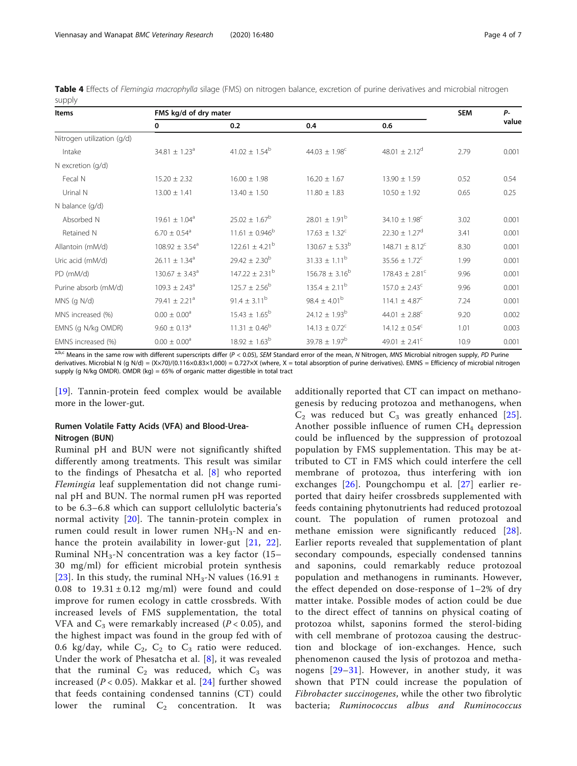<span id="page-3-0"></span>Table 4 Effects of Flemingia macrophylla silage (FMS) on nitrogen balance, excretion of purine derivatives and microbial nitrogen supply

| Items                      | FMS kg/d of dry mater         |                           |                               |                                |      | <b>P</b> - |
|----------------------------|-------------------------------|---------------------------|-------------------------------|--------------------------------|------|------------|
|                            | 0                             | 0.2                       | 0.4                           | 0.6                            |      | value      |
| Nitrogen utilization (g/d) |                               |                           |                               |                                |      |            |
| Intake                     | $34.81 \pm 1.23$ <sup>a</sup> | $41.02 \pm 1.54^{\rm b}$  | 44.03 $\pm$ 1.98 <sup>c</sup> | 48.01 $\pm$ 2.12 <sup>d</sup>  | 2.79 | 0.001      |
| $N$ excretion ( $q/d$ )    |                               |                           |                               |                                |      |            |
| Fecal N                    | $15.20 \pm 2.32$              | $16.00 \pm 1.98$          | $16.20 \pm 1.67$              | $13.90 \pm 1.59$               | 0.52 | 0.54       |
| Urinal N                   | $13.00 \pm 1.41$              | $13.40 \pm 1.50$          | $11.80 \pm 1.83$              | $10.50 \pm 1.92$               | 0.65 | 0.25       |
| N balance (g/d)            |                               |                           |                               |                                |      |            |
| Absorbed N                 | $19.61 \pm 1.04^a$            | $25.02 \pm 1.67^{\rm b}$  | $28.01 \pm 1.91^{\rm b}$      | $34.10 \pm 1.98^c$             | 3.02 | 0.001      |
| Retained N                 | $6.70 \pm 0.54$ <sup>a</sup>  | $11.61 \pm 0.946^{\rm b}$ | $17.63 \pm 1.32^c$            | $22.30 \pm 1.27^d$             | 3.41 | 0.001      |
| Allantoin (mM/d)           | $108.92 \pm 3.54^a$           | $122.61 \pm 4.21^b$       | $130.67 \pm 5.33^b$           | $148.71 \pm 8.12^{\circ}$      | 8.30 | 0.001      |
| Uric acid (mM/d)           | $26.11 \pm 1.34^a$            | $29.42 \pm 2.30^{b}$      | $31.33 \pm 1.11^b$            | $35.56 \pm 1.72^c$             | 1.99 | 0.001      |
| PD (mM/d)                  | $130.67 \pm 3.43^a$           | $147.22 \pm 2.31^b$       | $156.78 \pm 3.16^b$           | $178.43 \pm 2.81$ <sup>c</sup> | 9.96 | 0.001      |
| Purine absorb (mM/d)       | $109.3 \pm 2.43^{\circ}$      | $125.7 \pm 2.56^{\circ}$  | $135.4 \pm 2.11^{\rm b}$      | $157.0 \pm 2.43^{\circ}$       | 9.96 | 0.001      |
| $MNS$ (q $N/d$ )           | 79.41 $\pm$ 2.21 <sup>a</sup> | $91.4 \pm 3.11^{b}$       | $98.4 \pm 4.01^{\rm b}$       | 114.1 $\pm$ 4.87 <sup>c</sup>  | 7.24 | 0.001      |
| MNS increased (%)          | $0.00 \pm 0.00$ <sup>a</sup>  | $15.43 \pm 1.65^{\rm b}$  | $24.12 \pm 1.93^b$            | 44.01 $\pm$ 2.88 <sup>c</sup>  | 9.20 | 0.002      |
| EMNS (g N/kg OMDR)         | $9.60 \pm 0.13$ <sup>a</sup>  | $11.31 \pm 0.46^{\circ}$  | $14.13 \pm 0.72^c$            | $14.12 \pm 0.54^c$             | 1.01 | 0.003      |
| EMNS increased (%)         | $0.00 \pm 0.00$ <sup>a</sup>  | $18.92 \pm 1.63^b$        | $39.78 \pm 1.97^b$            | 49.01 $\pm$ 2.41 <sup>c</sup>  | 10.9 | 0.001      |

a,b,c Means in the same row with different superscripts differ (P < 0.05), SEM Standard error of the mean, N Nitrogen, MNS Microbial nitrogen supply, PD Purine derivatives. Microbial N (g N/d) = (X×70)/(0.116×0.83×1,000) = 0.727×X (where, X = total absorption of purine derivatives). EMNS = Efficiency of microbial nitrogen supply (g N/kg OMDR). OMDR (kg) = 65% of organic matter digestible in total tract

[[19\]](#page-6-0). Tannin-protein feed complex would be available more in the lower-gut.

# Rumen Volatile Fatty Acids (VFA) and Blood-Urea-Nitrogen (BUN)

Ruminal pH and BUN were not significantly shifted differently among treatments. This result was similar to the findings of Phesatcha et al. [\[8](#page-5-0)] who reported Flemingia leaf supplementation did not change ruminal pH and BUN. The normal rumen pH was reported to be 6.3–6.8 which can support cellulolytic bacteria's normal activity [\[20\]](#page-6-0). The tannin-protein complex in rumen could result in lower rumen  $NH<sub>3</sub>-N$  and enhance the protein availability in lower-gut [[21](#page-6-0), [22](#page-6-0)]. Ruminal NH<sub>3</sub>-N concentration was a key factor (15– 30 mg/ml) for efficient microbial protein synthesis [[23](#page-6-0)]. In this study, the ruminal NH<sub>3</sub>-N values (16.91  $\pm$ 0.08 to  $19.31 \pm 0.12$  mg/ml) were found and could improve for rumen ecology in cattle crossbreds. With increased levels of FMS supplementation, the total VFA and  $C_3$  were remarkably increased ( $P < 0.05$ ), and the highest impact was found in the group fed with of 0.6 kg/day, while  $C_2$ ,  $C_2$  to  $C_3$  ratio were reduced. Under the work of Phesatcha et al. [\[8](#page-5-0)], it was revealed that the ruminal  $C_2$  was reduced, which  $C_3$  was increased ( $P < 0.05$ ). Makkar et al. [[24](#page-6-0)] further showed that feeds containing condensed tannins (CT) could lower the ruminal  $C_2$  concentration. It was

additionally reported that CT can impact on methanogenesis by reducing protozoa and methanogens, when  $C_2$  was reduced but  $C_3$  was greatly enhanced [[25](#page-6-0)]. Another possible influence of rumen  $CH<sub>4</sub>$  depression could be influenced by the suppression of protozoal population by FMS supplementation. This may be attributed to CT in FMS which could interfere the cell membrane of protozoa, thus interfering with ion exchanges [[26\]](#page-6-0). Poungchompu et al. [[27\]](#page-6-0) earlier reported that dairy heifer crossbreds supplemented with feeds containing phytonutrients had reduced protozoal count. The population of rumen protozoal and methane emission were significantly reduced [[28](#page-6-0)]. Earlier reports revealed that supplementation of plant secondary compounds, especially condensed tannins and saponins, could remarkably reduce protozoal population and methanogens in ruminants. However, the effect depended on dose-response of 1–2% of dry matter intake. Possible modes of action could be due to the direct effect of tannins on physical coating of protozoa whilst, saponins formed the sterol-biding with cell membrane of protozoa causing the destruction and blockage of ion-exchanges. Hence, such phenomenon caused the lysis of protozoa and metha-nogens [[29](#page-6-0)–[31](#page-6-0)]. However, in another study, it was shown that PTN could increase the population of Fibrobacter succinogenes, while the other two fibrolytic bacteria; Ruminococcus albus and Ruminococcus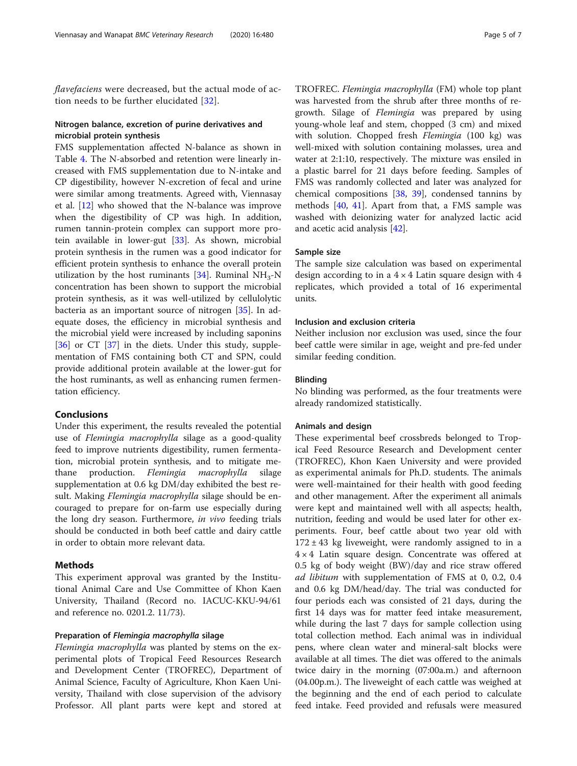flavefaciens were decreased, but the actual mode of action needs to be further elucidated [[32\]](#page-6-0).

## Nitrogen balance, excretion of purine derivatives and microbial protein synthesis

FMS supplementation affected N-balance as shown in Table [4.](#page-3-0) The N-absorbed and retention were linearly increased with FMS supplementation due to N-intake and CP digestibility, however N-excretion of fecal and urine were similar among treatments. Agreed with, Viennasay et al. [\[12\]](#page-5-0) who showed that the N-balance was improve when the digestibility of CP was high. In addition, rumen tannin-protein complex can support more protein available in lower-gut [\[33](#page-6-0)]. As shown, microbial protein synthesis in the rumen was a good indicator for efficient protein synthesis to enhance the overall protein utilization by the host ruminants [[34\]](#page-6-0). Ruminal  $NH<sub>3</sub>-N$ concentration has been shown to support the microbial protein synthesis, as it was well-utilized by cellulolytic bacteria as an important source of nitrogen [\[35\]](#page-6-0). In adequate doses, the efficiency in microbial synthesis and the microbial yield were increased by including saponins [[36\]](#page-6-0) or CT [[37\]](#page-6-0) in the diets. Under this study, supplementation of FMS containing both CT and SPN, could provide additional protein available at the lower-gut for the host ruminants, as well as enhancing rumen fermentation efficiency.

## Conclusions

Under this experiment, the results revealed the potential use of Flemingia macrophylla silage as a good-quality feed to improve nutrients digestibility, rumen fermentation, microbial protein synthesis, and to mitigate methane production. Flemingia macrophylla silage supplementation at 0.6 kg DM/day exhibited the best result. Making Flemingia macrophylla silage should be encouraged to prepare for on-farm use especially during the long dry season. Furthermore, in vivo feeding trials should be conducted in both beef cattle and dairy cattle in order to obtain more relevant data.

# Methods

This experiment approval was granted by the Institutional Animal Care and Use Committee of Khon Kaen University, Thailand (Record no. IACUC-KKU-94/61 and reference no. 0201.2. 11/73).

## Preparation of Flemingia macrophylla silage

Flemingia macrophylla was planted by stems on the experimental plots of Tropical Feed Resources Research and Development Center (TROFREC), Department of Animal Science, Faculty of Agriculture, Khon Kaen University, Thailand with close supervision of the advisory Professor. All plant parts were kept and stored at TROFREC. Flemingia macrophylla (FM) whole top plant was harvested from the shrub after three months of regrowth. Silage of Flemingia was prepared by using young-whole leaf and stem, chopped (3 cm) and mixed with solution. Chopped fresh Flemingia (100 kg) was well-mixed with solution containing molasses, urea and water at 2:1:10, respectively. The mixture was ensiled in a plastic barrel for 21 days before feeding. Samples of FMS was randomly collected and later was analyzed for chemical compositions [\[38](#page-6-0), [39](#page-6-0)], condensed tannins by methods [\[40](#page-6-0), [41\]](#page-6-0). Apart from that, a FMS sample was washed with deionizing water for analyzed lactic acid and acetic acid analysis [[42\]](#page-6-0).

## Sample size

The sample size calculation was based on experimental design according to in a  $4 \times 4$  Latin square design with 4 replicates, which provided a total of 16 experimental units.

# Inclusion and exclusion criteria

Neither inclusion nor exclusion was used, since the four beef cattle were similar in age, weight and pre-fed under similar feeding condition.

## Blinding

No blinding was performed, as the four treatments were already randomized statistically.

## Animals and design

These experimental beef crossbreds belonged to Tropical Feed Resource Research and Development center (TROFREC), Khon Kaen University and were provided as experimental animals for Ph.D. students. The animals were well-maintained for their health with good feeding and other management. After the experiment all animals were kept and maintained well with all aspects; health, nutrition, feeding and would be used later for other experiments. Four, beef cattle about two year old with  $172 \pm 43$  kg liveweight, were randomly assigned to in a  $4 \times 4$  Latin square design. Concentrate was offered at 0.5 kg of body weight (BW)/day and rice straw offered ad libitum with supplementation of FMS at 0, 0.2, 0.4 and 0.6 kg DM/head/day. The trial was conducted for four periods each was consisted of 21 days, during the first 14 days was for matter feed intake measurement, while during the last 7 days for sample collection using total collection method. Each animal was in individual pens, where clean water and mineral-salt blocks were available at all times. The diet was offered to the animals twice dairy in the morning (07:00a.m.) and afternoon (04.00p.m.). The liveweight of each cattle was weighed at the beginning and the end of each period to calculate feed intake. Feed provided and refusals were measured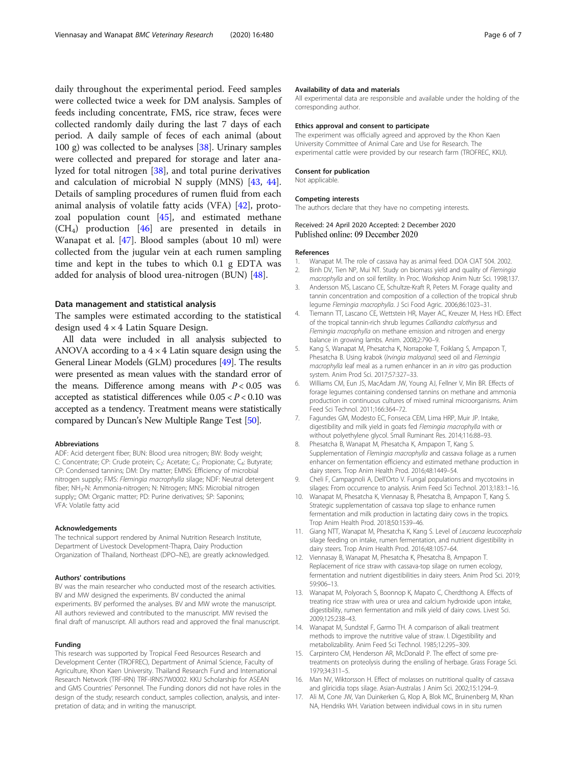<span id="page-5-0"></span>daily throughout the experimental period. Feed samples were collected twice a week for DM analysis. Samples of feeds including concentrate, FMS, rice straw, feces were collected randomly daily during the last 7 days of each period. A daily sample of feces of each animal (about 100 g) was collected to be analyses [[38\]](#page-6-0). Urinary samples were collected and prepared for storage and later analyzed for total nitrogen [[38\]](#page-6-0), and total purine derivatives and calculation of microbial N supply (MNS) [[43,](#page-6-0) [44](#page-6-0)]. Details of sampling procedures of rumen fluid from each animal analysis of volatile fatty acids (VFA) [[42\]](#page-6-0), protozoal population count [[45\]](#page-6-0), and estimated methane (CH4) production [[46\]](#page-6-0) are presented in details in Wanapat et al. [[47](#page-6-0)]. Blood samples (about 10 ml) were collected from the jugular vein at each rumen sampling time and kept in the tubes to which 0.1 g EDTA was added for analysis of blood urea-nitrogen (BUN) [[48](#page-6-0)].

## Data management and statistical analysis

The samples were estimated according to the statistical design used 4 × 4 Latin Square Design.

All data were included in all analysis subjected to ANOVA according to a  $4 \times 4$  Latin square design using the General Linear Models (GLM) procedures [\[49\]](#page-6-0). The results were presented as mean values with the standard error of the means. Difference among means with  $P < 0.05$  was accepted as statistical differences while  $0.05 < P < 0.10$  was accepted as a tendency. Treatment means were statistically compared by Duncan's New Multiple Range Test [\[50\]](#page-6-0).

#### Abbreviations

ADF: Acid detergent fiber; BUN: Blood urea nitrogen; BW: Body weight; C: Concentrate; CP: Crude protein; C<sub>2</sub>: Acetate; C<sub>3</sub>: Propionate; C<sub>4</sub>: Butyrate; CP: Condensed tannins; DM: Dry matter; EMNS: Efficiency of microbial nitrogen supply; FMS: Flemingia macrophylla silage; NDF: Neutral detergent fiber; NH<sub>3</sub>-N: Ammonia-nitrogen; N: Nitrogen; MNS: Microbial nitrogen supply;; OM: Organic matter; PD: Purine derivatives; SP: Saponins; VFA: Volatile fatty acid

#### Acknowledgements

The technical support rendered by Animal Nutrition Research Institute, Department of Livestock Development-Thapra, Dairy Production Organization of Thailand, Northeast (DPO–NE), are greatly acknowledged.

#### Authors' contributions

BV was the main researcher who conducted most of the research activities. BV and MW designed the experiments. BV conducted the animal experiments. BV performed the analyses. BV and MW wrote the manuscript. All authors reviewed and contributed to the manuscript. MW revised the final draft of manuscript. All authors read and approved the final manuscript.

#### Funding

This research was supported by Tropical Feed Resources Research and Development Center (TROFREC), Department of Animal Science, Faculty of Agriculture, Khon Kaen University. Thailand Research Fund and International Research Network (TRF-IRN) TRF-IRN57W0002. KKU Scholarship for ASEAN and GMS Countries' Personnel. The Funding donors did not have roles in the design of the study; research conduct, samples collection, analysis, and interpretation of data; and in writing the manuscript.

#### Availability of data and materials

All experimental data are responsible and available under the holding of the corresponding author.

### Ethics approval and consent to participate

The experiment was officially agreed and approved by the Khon Kaen University Committee of Animal Care and Use for Research. The experimental cattle were provided by our research farm (TROFREC, KKU).

#### Consent for publication

Not applicable.

#### Competing interests

The authors declare that they have no competing interests.

## Received: 24 April 2020 Accepted: 2 December 2020 Published online: 09 December 2020

#### References

- 1. Wanapat M. The role of cassava hay as animal feed. DOA CIAT 504. 2002.
- 2. Binh DV, Tien NP, Mui NT. Study on biomass yield and quality of Flemingia macrophylla and on soil fertility. In Proc. Workshop Anim Nutr Sci. 1998;137.
- 3. Andersson MS, Lascano CE, Schultze-Kraft R, Peters M. Forage quality and tannin concentration and composition of a collection of the tropical shrub legume Flemingia macrophylla. J Sci Food Agric. 2006;86:1023–31.
- Tiemann TT, Lascano CE, Wettstein HR, Mayer AC, Kreuzer M, Hess HD. Effect of the tropical tannin-rich shrub legumes Calliandra calothyrsus and Flemingia macrophylla on methane emission and nitrogen and energy balance in growing lambs. Anim. 2008;2:790–9.
- 5. Kang S, Wanapat M, Phesatcha K, Norrapoke T, Foiklang S, Ampapon T, Phesatcha B. Using krabok (Irvingia malayana) seed oil and Flemingia macrophylla leaf meal as a rumen enhancer in an in vitro gas production system. Anim Prod Sci. 2017;57:327–33.
- 6. Williams CM, Eun JS, MacAdam JW, Young AJ, Fellner V, Min BR. Effects of forage legumes containing condensed tannins on methane and ammonia production in continuous cultures of mixed ruminal microorganisms. Anim Feed Sci Technol. 2011;166:364–72.
- 7. Fagundes GM, Modesto EC, Fonseca CEM, Lima HRP, Muir JP. Intake, digestibility and milk yield in goats fed Flemingia macrophylla with or without polyethylene glycol. Small Ruminant Res. 2014;116:88–93.
- Phesatcha B, Wanapat M, Phesatcha K, Ampapon T, Kang S. Supplementation of Flemingia macrophylla and cassava foliage as a rumen enhancer on fermentation efficiency and estimated methane production in dairy steers. Trop Anim Health Prod. 2016;48:1449–54.
- 9. Cheli F, Campagnoli A, Dell'Orto V. Fungal populations and mycotoxins in silages: From occurrence to analysis. Anim Feed Sci Technol. 2013;183:1–16.
- 10. Wanapat M, Phesatcha K, Viennasay B, Phesatcha B, Ampapon T, Kang S. Strategic supplementation of cassava top silage to enhance rumen fermentation and milk production in lactating dairy cows in the tropics. Trop Anim Health Prod. 2018;50:1539–46.
- 11. Giang NTT, Wanapat M, Phesatcha K, Kang S. Level of Leucaena leucocephala silage feeding on intake, rumen fermentation, and nutrient digestibility in dairy steers. Trop Anim Health Prod. 2016;48:1057–64.
- 12. Viennasay B, Wanapat M, Phesatcha K, Phesatcha B, Ampapon T. Replacement of rice straw with cassava-top silage on rumen ecology, fermentation and nutrient digestibilities in dairy steers. Anim Prod Sci. 2019; 59:906–13.
- 13. Wanapat M, Polyorach S, Boonnop K, Mapato C, Cherdthong A. Effects of treating rice straw with urea or urea and calcium hydroxide upon intake, digestibility, rumen fermentation and milk yield of dairy cows. Livest Sci. 2009;125:238–43.
- 14. Wanapat M, Sundstøl F, Garmo TH. A comparison of alkali treatment methods to improve the nutritive value of straw. I. Digestibility and metabolizability. Anim Feed Sci Technol. 1985;12:295–309.
- 15. Carpintero CM, Henderson AR, McDonald P. The effect of some pretreatments on proteolysis during the ensiling of herbage. Grass Forage Sci. 1979;34:311–5.
- 16. Man NV, Wiktorsson H. Effect of molasses on nutritional quality of cassava and gliricidia tops silage. Asian-Australas J Anim Sci. 2002;15:1294–9.
- 17. Ali M, Cone JW, Van Duinkerken G, Klop A, Blok MC, Bruinenberg M, Khan NA, Hendriks WH. Variation between individual cows in in situ rumen